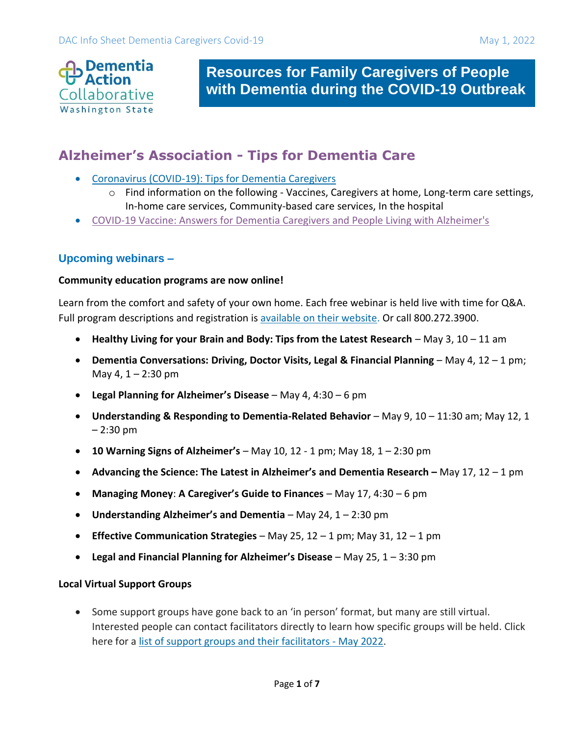

**Resources for Family Caregivers of People with Dementia during the COVID-19 Outbreak**

# **Alzheimer's Association - Tips for Dementia Care**

- [Coronavirus \(COVID-19\): Tips for Dementia Caregivers](https://alz.org/help-support/caregiving/coronavirus-(covid-19)-tips-for-dementia-care#home)
	- o Find information on the following Vaccines, Caregivers at home, Long-term care settings, In-home care services, Community-based care services, In the hospital
- [COVID-19 Vaccine: Answers for Dementia Caregivers and People Living with Alzheimer's](https://www.alz.org/alzheimers-dementia/coronavirus-covid-19-vaccine)

### **Upcoming webinars –**

#### **Community education programs are now online!**

Learn from the comfort and safety of your own home. Each free webinar is held live with time for Q&A. Full program descriptions and registration is [available on their website.](https://act.alz.org/site/R?i=Ui7NM8Di-x6gchIUXYYIxA) Or call 800.272.3900.

- Healthy Living for your Brain and Body: Tips from the Latest Research May 3, 10 11 am
- **Dementia Conversations: Driving, Doctor Visits, Legal & Financial Planning** May 4, 12 1 pm; May 4,  $1 - 2:30$  pm
- **Legal Planning for Alzheimer's Disease**  May 4, 4:30 6 pm
- **Understanding & Responding to Dementia-Related Behavior**  May 9, 10 11:30 am; May 12, 1 – 2:30 pm
- **10 Warning Signs of Alzheimer's** May 10, 12 1 pm; May 18, 1 2:30 pm
- **Advancing the Science: The Latest in Alzheimer's and Dementia Research –** May 17, 12 1 pm
- **Managing Money**: **A Caregiver's Guide to Finances** May 17, 4:30 6 pm
- **Understanding Alzheimer's and Dementia**  May 24, 1 2:30 pm
- **Effective Communication Strategies** May 25, 12 1 pm; May 31, 12 1 pm
- **Legal and Financial Planning for Alzheimer's Disease**  May 25, 1 3:30 pm

#### **Local Virtual Support Groups**

• Some support groups have gone back to an 'in person' format, but many are still virtual. Interested people can contact facilitators directly to learn how specific groups will be held. Click here for a [list of support groups and their facilitators -](https://www.alz.org/media/alzwa/documents/Support-Group-List.pdf) May 2022.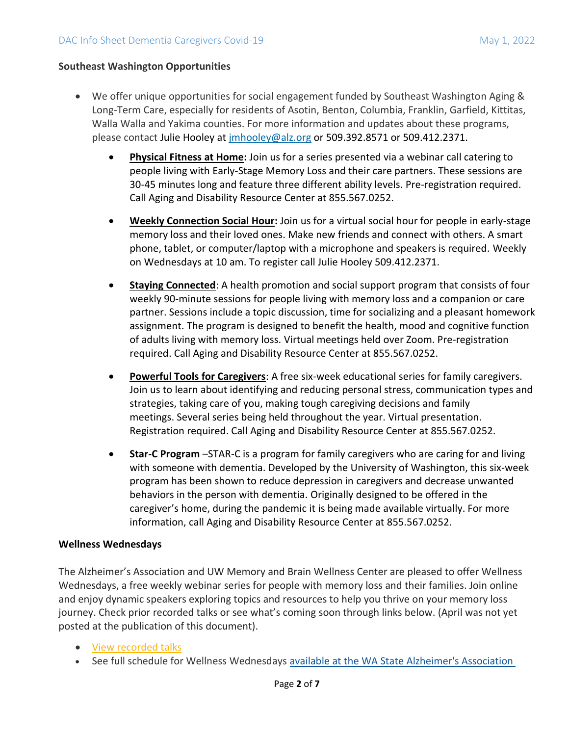#### **Southeast Washington Opportunities**

- We offer unique opportunities for social engagement funded by Southeast Washington Aging & Long-Term Care, especially for residents of Asotin, Benton, Columbia, Franklin, Garfield, Kittitas, Walla Walla and Yakima counties. For more information and updates about these programs, please contact Julie Hooley at [jmhooley@alz.org](mailto:jmhooley@alz.org) or 509.392.8571 or 509.412.2371.
	- **[Physical Fitness at Home:](https://www.alz.org/media/alzwa/documents/Fitness-Flyer-Jan-2022.pdf)** Join us for a series presented via a webinar call catering to people living with Early-Stage Memory Loss and their care partners. These sessions are 30-45 minutes long and feature three different ability levels. Pre-registration required. Call Aging and Disability Resource Center at 855.567.0252.
	- **[Weekly Connection Social Hour:](https://www.alz.org/media/alzwa/documents/Weekly-Connection-2022.pdf)** Join us for a virtual social hour for people in early-stage memory loss and their loved ones. Make new friends and connect with others. A smart phone, tablet, or computer/laptop with a microphone and speakers is required. Weekly on Wednesdays at 10 am. To register call Julie Hooley 509.412.2371.
	- **[Staying Connected](https://www.alz.org/media/alzwa/documents/Staying-Connected-2022.pdf)**: A health promotion and social support program that consists of four weekly 90-minute sessions for people living with memory loss and a companion or care partner. Sessions include a topic discussion, time for socializing and a pleasant homework assignment. The program is designed to benefit the health, mood and cognitive function of adults living with memory loss. Virtual meetings held over Zoom. Pre-registration required. Call Aging and Disability Resource Center at 855.567.0252.
	- **[Powerful Tools for Caregivers](https://www.alz.org/media/alzwa/documents/Powerful-Tools-Generic-Flyer-Jan-2022.pdf)**: A free six-week educational series for family caregivers. Join us to learn about identifying and reducing personal stress, communication types and strategies, taking care of you, making tough caregiving decisions and family meetings. Several series being held throughout the year. Virtual presentation. Registration required. Call Aging and Disability Resource Center at 855.567.0252.
	- **Star-C Program** –STAR-C is a program for family caregivers who are caring for and living with someone with dementia. Developed by the University of Washington, this six-week program has been shown to reduce depression in caregivers and decrease unwanted behaviors in the person with dementia. Originally designed to be offered in the caregiver's home, during the pandemic it is being made available virtually. For more information, call Aging and Disability Resource Center at 855.567.0252.

#### **Wellness Wednesdays**

The Alzheimer's Association and UW Memory and Brain Wellness Center are pleased to offer Wellness Wednesdays, a free weekly webinar series for people with memory loss and their families. Join online and enjoy dynamic speakers exploring topics and resources to help you thrive on your memory loss journey. Check prior recorded talks or see what's coming soon through links below. (April was not yet posted at the publication of this document).

- View [recorded talks](https://www.youtube.com/playlist?list=PLz37ARyTwATUjlPa69KvEQfb2KoyOgNkE)
- See full schedule for Wellness Wednesdays [available at the WA State Alzheimer's Association](https://alzwablog.org/wellness-wednesdays/)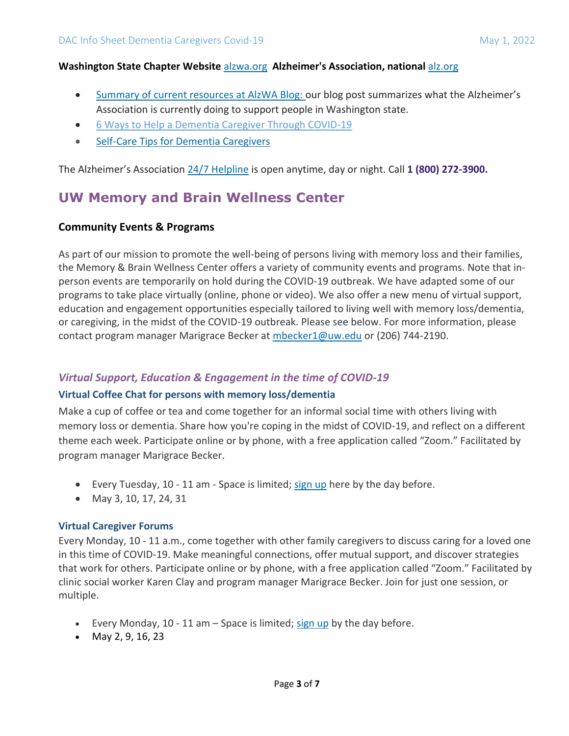#### **Washington State Chapter Website** [alzwa.org](https://urldefense.proofpoint.com/v2/url?u=http-3A__alzwa.org&d=DwMFaQ&c=4J0DyIxNDQjAR-x4NjL0NpGXBwDO_RhvZ8C7KRkAL-I&r=Hb3TRwoqy312AGKzy7eEDw&m=D7GwlBHoRC9eQzAEZfkclx5hzq1I83GsXy5gyZar4jw&s=DfUIa5eI3X73BEpKi3R11cuFyXRAkdYQkBTw87n-sxE&e=) **Alzheimer's Association, national** [alz.org](http://alz.org/)

- [Summary of current resources](https://urldefense.proofpoint.com/v2/url?u=https-3A__alzwablog.org_2020_03_19_covid-2D19-2Dresources-2Dfor-2Dyou_&d=DwMGaQ&c=4J0DyIxNDQjAR-x4NjL0NpGXBwDO_RhvZ8C7KRkAL-I&r=3V_vpbbCgaJv4ReKrVGxEfZHhToCqK-zRetFI0Btue8&m=xvntJ13ZYN9rnJTDhnyD4a4zYqd2ZYptN3L3jIADZvo&s=YXpHqxwvqJomwz3NogR0uWLvDhpluE0RKxfNRiUKSzs&e=) at AlzWA Blog: our blog post summarizes what the Alzheimer's Association is currently doing to support people in Washington state.
- [6 Ways to Help a Dementia Caregiver Through COVID-19](https://act.alz.org/site/R?i=toBTsh-wTXPjkUEMSzzj5A)
- [Self-Care Tips for Dementia Caregivers](https://act.alz.org/site/R?i=3eLky42gC6UmK7x9qTyt-Q)

The Alzheimer's Association [24/7 Helpline](https://www.alz.org/help-support/resources/helpline) is open anytime, day or night. Call **1 (800) 272-3900.**

## **UW Memory and Brain Wellness Center**

#### **Community Events & Programs**

As part of our mission to promote the well-being of persons living with memory loss and their families, the Memory & Brain Wellness Center offers a variety of community events and programs. Note that inperson events are temporarily on hold during the COVID-19 outbreak. We have adapted some of our programs to take place virtually (online, phone or video). We also offer a new menu of virtual support, education and engagement opportunities especially tailored to living well with memory loss/dementia, or caregiving, in the midst of the COVID-19 outbreak. Please see below. For more information, please contact program manager Marigrace Becker at [mbecker1@uw.edu](mailto:mbecker1@uw.edu?subject=MBWC%20Events%20Inquiry) or (206) 744-2190.

### *Virtual Support, Education & Engagement in the time of COVID-19*

#### **Virtual Coffee Chat for persons with memory loss/dementia**

Make a cup of coffee or tea and come together for an informal social time with others living with memory loss or dementia. Share how you're coping in the midst of COVID-19, and reflect on a different theme each week. Participate online or by phone, with a free application called "Zoom." Facilitated by program manager Marigrace Becker.

- Every Tuesday, 10 11 am Space is limited[; sign up](https://docs.google.com/forms/d/e/1FAIpQLSdz4ZC5TBrOHgS4UcqBPrDlvt9Ew93aa2Z0IMrzLZhsZ_l-3w/viewform?usp=sf_link) here by the day before.
- May 3, 10, 17, 24, 31

#### **Virtual Caregiver Forums**

Every Monday, 10 - 11 a.m., come together with other family caregivers to discuss caring for a loved one in this time of COVID-19. Make meaningful connections, offer mutual support, and discover strategies that work for others. Participate online or by phone, with a free application called "Zoom." Facilitated by clinic social worker Karen Clay and program manager Marigrace Becker. Join for just one session, or multiple.

- Every Monday,  $10 11$  am  $-$  Space is limited; [sign up](https://docs.google.com/forms/d/e/1FAIpQLSeCJQttKKH-x7JOU-cOQmvRhHb1ZzhiSHEWHS4VqaT7VyECvQ/viewform?usp=sf_link) by the day before.
- May 2, 9, 16, 23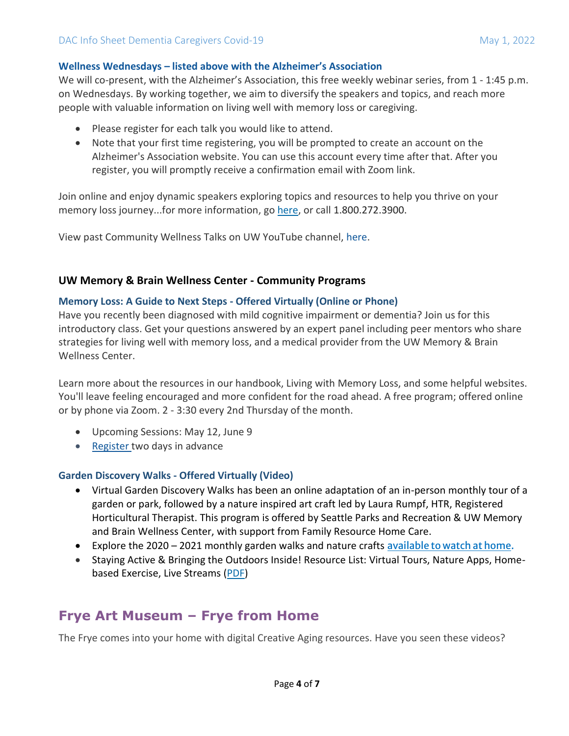#### **[Wellness Wednesdays](https://depts.washington.edu/mbwc/content/page-files/FINAL_Wellness_Wednesday_Flyer.pdf) – listed above with the Alzheimer's Association**

We will co-present, with the Alzheimer's Association, this free weekly webinar series, from 1 - 1:45 p.m. on Wednesdays. By working together, we aim to diversify the speakers and topics, and reach more people with valuable information on living well with memory loss or caregiving.

- Please register for each talk you would like to attend.
- Note that your first time registering, you will be prompted to create an account on the Alzheimer's Association website. You can use this account every time after that. After you register, you will promptly receive a confirmation email with Zoom link.

Join online and enjoy dynamic speakers exploring topics and resources to help you thrive on your memory loss journey...for more information, go [here,](https://alzwablog.org/wellness-wednesdays/) or call 1.800.272.3900.

View past Community Wellness Talks on UW YouTube channel, [here.](https://www.youtube.com/playlist?list=PLz37ARyTwATUjlPa69KvEQfb2KoyOgNkE)

#### **UW Memory & Brain Wellness Center - Community Programs**

#### **Memory Loss: A Guide to Next Steps - Offered Virtually (Online or Phone)**

Have you recently been diagnosed with mild cognitive impairment or dementia? Join us for this introductory class. Get your questions answered by an expert panel including peer mentors who share strategies for living well with memory loss, and a medical provider from the UW Memory & Brain Wellness Center.

Learn more about the resources in our handbook, Living with Memory Loss, and some helpful websites. You'll leave feeling encouraged and more confident for the road ahead. A free program; offered online or by phone via Zoom. 2 - 3:30 every 2nd Thursday of the month.

- Upcoming Sessions: May 12, June 9
- [Register](mailto:mbecker1@uw.edu?subject=Register%20for%20Memory%20Loss%3A%20Guide%20to%20Next%20Steps&body=Please%20register%20me%20for%20the%20following%20month%3A) two days in advance

### **Garden Discovery Walks - Offered Virtually (Video)**

- Virtual Garden Discovery Walks has been an online adaptation of an in-person monthly tour of a garden or park, followed by a nature inspired art craft led by Laura Rumpf, HTR, Registered Horticultural Therapist. This program is offered by Seattle Parks and Recreation & UW Memory and Brain Wellness Center, with support from Family Resource Home Care.
- Explore the 2020 2021 monthly garden walks and nature crafts [available to watch at home.](https://www.youtube.com/playlist?list=PLz37ARyTwATVvXHlL7h7R8bvzi9V5LbWl)
- Staying Active & Bringing the Outdoors Inside! Resource List: Virtual Tours, Nature Apps, Homebased Exercise, Live Streams [\(PDF\)](http://depts.washington.edu/mbwc/content/page-files/Outdoors_Inside.pdf)

## **Frye Art Museum – Frye from Home**

The Frye comes into your home with digital Creative Aging resources. Have you seen these videos?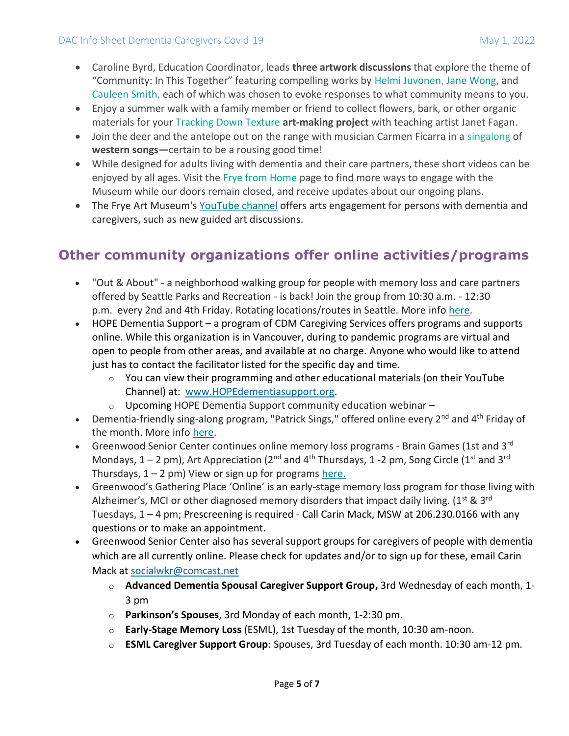- Caroline Byrd, Education Coordinator, leads **three artwork discussions** that explore the theme of "Community: In This Together" featuring compelling works by Helmi [Juvonen,](https://fryemuseum.us11.list-manage.com/track/click?u=e45609c16b056cc1f8f430945&id=64e6a3117d&e=c6818f19c0) Jane [Wong,](https://fryemuseum.us11.list-manage.com/track/click?u=e45609c16b056cc1f8f430945&id=ac1c8627b9&e=c6818f19c0) and [Cauleen](https://fryemuseum.us11.list-manage.com/track/click?u=e45609c16b056cc1f8f430945&id=b446e9c043&e=c6818f19c0) Smith, each of which was chosen to evoke responses to what community means to you.
- Enjoy a summer walk with a family member or friend to collect flowers, bark, or other organic materials for your Tracking [Down Texture](https://fryemuseum.us11.list-manage.com/track/click?u=e45609c16b056cc1f8f430945&id=bd60c43288&e=c6818f19c0) **art-making project** with teaching artist Janet Fagan.
- Join the deer and the antelope out on the range with musician Carmen Ficarra in a [singalong](https://fryemuseum.us11.list-manage.com/track/click?u=e45609c16b056cc1f8f430945&id=376fd497b9&e=c6818f19c0) of **western songs—**certain to be a rousing good time!
- While designed for adults living with dementia and their care partners, these short videos can be enjoyed by all ages. Visit the [Frye from](https://fryemuseum.us11.list-manage.com/track/click?u=e45609c16b056cc1f8f430945&id=15af5e544e&e=c6818f19c0) Home page to find more ways to engage with the Museum while our doors remain closed, and receive updates about our ongoing plans.
- The Frye Art Museum's [YouTube channel](https://gcc02.safelinks.protection.outlook.com/?url=https%3A%2F%2Fwashington.us12.list-manage.com%2Ftrack%2Fclick%3Fu%3D595acec73d7705f6fc09116d8%26id%3D3ed6c0311b%26e%3Dbad955b8f2&data=04%7C01%7Clynne.korte%40dshs.wa.gov%7C0460bed7b3d6452edac708d9245172d5%7C11d0e217264e400a8ba057dcc127d72d%7C0%7C0%7C637580755012122790%7CUnknown%7CTWFpbGZsb3d8eyJWIjoiMC4wLjAwMDAiLCJQIjoiV2luMzIiLCJBTiI6Ik1haWwiLCJXVCI6Mn0%3D%7C2000&sdata=XzU82hZc0TJAyd59osAEaHhutzm37avfxuxlqLCuS0Q%3D&reserved=0) offers arts engagement for persons with dementia and caregivers, such as new guided art discussions.

# **Other community organizations offer online activities/programs**

- "Out & About" a neighborhood walking group for people with memory loss and care partners offered by Seattle Parks and Recreation - is back! Join the group from 10:30 a.m. - 12:30 p.m. every 2nd and 4th Friday. Rotating locations/routes in Seattle. More info [here.](https://gcc02.safelinks.protection.outlook.com/?url=https%3A%2F%2Fwashington.us12.list-manage.com%2Ftrack%2Fclick%3Fu%3D595acec73d7705f6fc09116d8%26id%3D6305d63147%26e%3Dbad955b8f2&data=04%7C01%7Clynne.korte%40dshs.wa.gov%7C93efeecc0dfe46f024f108d9fb1a5b54%7C11d0e217264e400a8ba057dcc127d72d%7C0%7C0%7C637816913815743278%7CUnknown%7CTWFpbGZsb3d8eyJWIjoiMC4wLjAwMDAiLCJQIjoiV2luMzIiLCJBTiI6Ik1haWwiLCJXVCI6Mn0%3D%7C0&sdata=%2B%2FDjKjWP%2FGgVELQdqTt7ZghfA46GS7CL3Tn3xihVHRM%3D&reserved=0)
- HOPE Dementia Support a program of CDM Caregiving Services offers programs and supports online. While this organization is in Vancouver, during to pandemic programs are virtual and open to people from other areas, and available at no charge. Anyone who would like to attend just has to contact the facilitator listed for the specific day and time.
	- $\circ$  You can view their programming and other educational materials (on their YouTube Channel) at: [www.HOPEdementiasupport.org.](http://www.hopedementiasupport.org/)
	- $\circ$  Upcoming HOPE Dementia Support community education webinar  $-$
- Dementia-friendly sing-along program, "Patrick Sings," offered online every 2<sup>nd</sup> and 4<sup>th</sup> Friday of the month. More info [here.](https://gcc02.safelinks.protection.outlook.com/?url=https%3A%2F%2Fwashington.us12.list-manage.com%2Ftrack%2Fclick%3Fu%3D595acec73d7705f6fc09116d8%26id%3D528352a48e%26e%3Dbad955b8f2&data=04%7C01%7Clynne.korte%40dshs.wa.gov%7C0460bed7b3d6452edac708d9245172d5%7C11d0e217264e400a8ba057dcc127d72d%7C0%7C0%7C637580755012082977%7CUnknown%7CTWFpbGZsb3d8eyJWIjoiMC4wLjAwMDAiLCJQIjoiV2luMzIiLCJBTiI6Ik1haWwiLCJXVCI6Mn0%3D%7C2000&sdata=eIsgsqu4JgQpVPYryWbgXYu2Pmp6E6YFbC5dh1OY9D0%3D&reserved=0)
- Greenwood Senior Center continues online memory loss programs Brain Games (1st and 3rd Mondays,  $1 - 2$  pm), Art Appreciation ( $2^{nd}$  and  $4^{th}$  Thursdays,  $1 - 2$  pm, Song Circle ( $1^{st}$  and  $3^{rd}$ ) Thursdays,  $1 - 2$  pm) View or sign up for programs [here.](https://gcc02.safelinks.protection.outlook.com/?url=https%3A%2F%2Fwashington.us12.list-manage.com%2Ftrack%2Fclick%3Fu%3D595acec73d7705f6fc09116d8%26id%3D6e5716ac85%26e%3Dbad955b8f2&data=04%7C01%7Clynne.korte%40dshs.wa.gov%7C0460bed7b3d6452edac708d9245172d5%7C11d0e217264e400a8ba057dcc127d72d%7C0%7C0%7C637580755012092934%7CUnknown%7CTWFpbGZsb3d8eyJWIjoiMC4wLjAwMDAiLCJQIjoiV2luMzIiLCJBTiI6Ik1haWwiLCJXVCI6Mn0%3D%7C2000&sdata=di2BHJH2YEyPvZwLLoX6qrGBcpXhcg4FkeFD3QK5IZQ%3D&reserved=0)
- Greenwood's Gathering Place 'Online' is an early-stage memory loss program for those living with Alzheimer's, MCI or other diagnosed memory disorders that impact daily living. ( $1^{st}$  &  $3^{rd}$ Tuesdays, 1 – 4 pm; Prescreening is required - Call Carin Mack, MSW at 206.230.0166 with any questions or to make an appointment.
- Greenwood Senior Center also has several support groups for caregivers of people with dementia which are all currently online. Please check for updates and/or to sign up for these, email Carin Mack at [socialwkr@comcast.net](mailto:socialwkr@comcast.net)
	- o **Advanced Dementia Spousal Caregiver Support Group,** 3rd Wednesday of each month, 1- 3 pm
	- o **Parkinson's Spouses**, 3rd Monday of each month, 1-2:30 pm.
	- o **Early-Stage Memory Loss** (ESML), 1st Tuesday of the month, 10:30 am-noon.
	- o **ESML Caregiver Support Group**: Spouses, 3rd Tuesday of each month. 10:30 am-12 pm.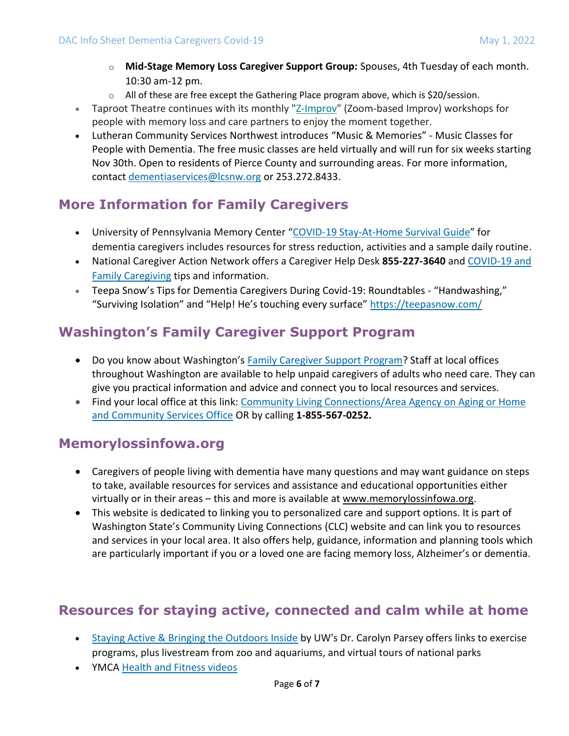- o **Mid-Stage Memory Loss Caregiver Support Group:** Spouses, 4th Tuesday of each month. 10:30 am-12 pm.
- $\circ$  All of these are free except the Gathering Place program above, which is \$20/session.
- Taproot Theatre continues with its monthly ["Z-Improv"](https://gcc02.safelinks.protection.outlook.com/?url=https%3A%2F%2Fwashington.us12.list-manage.com%2Ftrack%2Fclick%3Fu%3D595acec73d7705f6fc09116d8%26id%3De2679986be%26e%3Dbad955b8f2&data=04%7C01%7Clynne.korte%40dshs.wa.gov%7C0460bed7b3d6452edac708d9245172d5%7C11d0e217264e400a8ba057dcc127d72d%7C0%7C0%7C637580755012132757%7CUnknown%7CTWFpbGZsb3d8eyJWIjoiMC4wLjAwMDAiLCJQIjoiV2luMzIiLCJBTiI6Ik1haWwiLCJXVCI6Mn0%3D%7C2000&sdata=DPQj8MT77z5o01908%2F8FZwfIULSu1Dy0bPEgfYfmGHg%3D&reserved=0) (Zoom-based Improv) workshops for people with memory loss and care partners to enjoy the moment together.
- Lutheran Community Services Northwest introduces "Music & Memories" Music Classes for People with Dementia. The free music classes are held virtually and will run for six weeks starting Nov 30th. Open to residents of Pierce County and surrounding areas. For more information, contact [dementiaservices@lcsnw.org](mailto:dementiaservices@lcsnw.org) or 253.272.8433.

## **More Information for Family Caregivers**

- University of Pennsylvania Memory Center "[COVID-19 Stay-At-Home Survival Guide](https://washington.us12.list-manage.com/track/click?u=595acec73d7705f6fc09116d8&id=4b60e7d1be&e=1eb28ff50e)" for dementia caregivers includes resources for stress reduction, activities and a sample daily routine.
- National Caregiver Action Network offers a Caregiver Help Desk **855-227-3640** and [COVID-19 and](https://caregiveraction.org/covid-19)  [Family Caregiving](https://caregiveraction.org/covid-19) tips and information.
- Teepa Snow's Tips for Dementia Caregivers During Covid-19: Roundtables "Handwashing," "Surviving Isolation" and "Help! He's touching every surface" <https://teepasnow.com/>

# **Washington's Family Caregiver Support Program**

- Do you know about Washington's [Family Caregiver Support Program?](https://www.dshs.wa.gov/altsa/home-and-community-services/agencies-help#FCSP) Staff at local offices throughout Washington are available to help unpaid caregivers of adults who need care. They can give you practical information and advice and connect you to local resources and services.
- Find your local office at this link: Community Living Connections/Area Agency on Aging or Home [and Community Services Office](https://www.dshs.wa.gov/ALTSA/resources) OR by calling **1-855-567-0252.**

## **Memorylossinfowa.org**

- Caregivers of people living with dementia have many questions and may want guidance on steps to take, available resources for services and assistance and educational opportunities either virtually or in their areas – this and more is available at [www.memorylossinfowa.org.](http://www.memorylossinfowa.org/)
- This website is dedicated to linking you to personalized care and support options. It is part of Washington State's Community Living Connections (CLC) website and can link you to resources and services in your local area. It also offers help, guidance, information and planning tools which are particularly important if you or a loved one are facing memory loss, Alzheimer's or dementia.

# **Resources for staying active, connected and calm while at home**

- [Staying Active & Bringing the Outdoors Inside](https://washington.us12.list-manage.com/track/click?u=595acec73d7705f6fc09116d8&id=402c79414f&e=1eb28ff50e) by UW's Dr. Carolyn Parsey offers links to exercise programs, plus livestream from zoo and aquariums, and virtual tours of national parks
- YMCA [Health and Fitness videos](https://washington.us12.list-manage.com/track/click?u=595acec73d7705f6fc09116d8&id=085c178b71&e=1eb28ff50e)